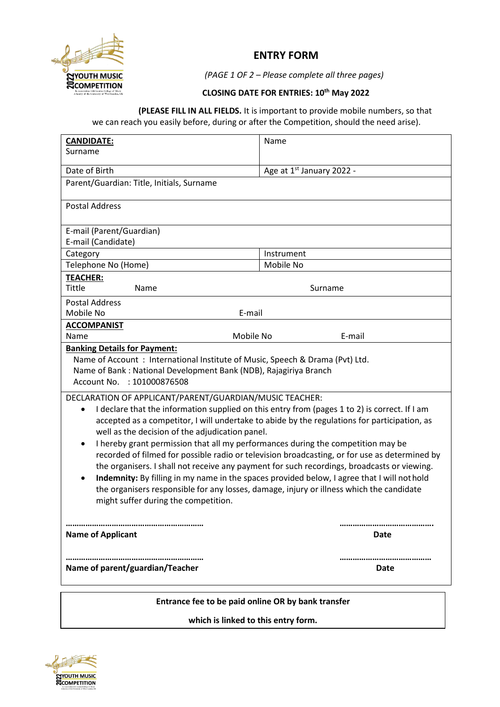

## **ENTRY FORM**

*(PAGE 1 OF 2 – Please complete all three pages)*

## **CLOSING DATE FOR ENTRIES: 10th May 2022**

**(PLEASE FILL IN ALL FIELDS.** It is important to provide mobile numbers, so that we can reach you easily before, during or after the Competition, should the need arise).

| <b>CANDIDATE:</b>                                                                                          | Name                                                                                          |  |  |
|------------------------------------------------------------------------------------------------------------|-----------------------------------------------------------------------------------------------|--|--|
| Surname                                                                                                    |                                                                                               |  |  |
| Date of Birth                                                                                              | Age at 1st January 2022 -                                                                     |  |  |
| Parent/Guardian: Title, Initials, Surname                                                                  |                                                                                               |  |  |
|                                                                                                            |                                                                                               |  |  |
| <b>Postal Address</b>                                                                                      |                                                                                               |  |  |
| E-mail (Parent/Guardian)                                                                                   |                                                                                               |  |  |
| E-mail (Candidate)                                                                                         |                                                                                               |  |  |
| Category                                                                                                   | Instrument                                                                                    |  |  |
| Telephone No (Home)                                                                                        | Mobile No                                                                                     |  |  |
| <b>TEACHER:</b>                                                                                            |                                                                                               |  |  |
| Tittle<br>Name                                                                                             | Surname                                                                                       |  |  |
| <b>Postal Address</b>                                                                                      |                                                                                               |  |  |
| Mobile No                                                                                                  | E-mail                                                                                        |  |  |
| <b>ACCOMPANIST</b>                                                                                         |                                                                                               |  |  |
| Mobile No<br>Name                                                                                          | E-mail                                                                                        |  |  |
| <b>Banking Details for Payment:</b>                                                                        |                                                                                               |  |  |
| Name of Account: International Institute of Music, Speech & Drama (Pvt) Ltd.                               |                                                                                               |  |  |
| Name of Bank: National Development Bank (NDB), Rajagiriya Branch                                           |                                                                                               |  |  |
| Account No. : 101000876508                                                                                 |                                                                                               |  |  |
| DECLARATION OF APPLICANT/PARENT/GUARDIAN/MUSIC TEACHER:                                                    |                                                                                               |  |  |
| I declare that the information supplied on this entry from (pages 1 to 2) is correct. If I am<br>$\bullet$ |                                                                                               |  |  |
|                                                                                                            | accepted as a competitor, I will undertake to abide by the regulations for participation, as  |  |  |
| well as the decision of the adjudication panel.                                                            |                                                                                               |  |  |
| I hereby grant permission that all my performances during the competition may be<br>$\bullet$              |                                                                                               |  |  |
|                                                                                                            | recorded of filmed for possible radio or television broadcasting, or for use as determined by |  |  |
| the organisers. I shall not receive any payment for such recordings, broadcasts or viewing.                |                                                                                               |  |  |
| Indemnity: By filling in my name in the spaces provided below, I agree that I will not hold<br>$\bullet$   |                                                                                               |  |  |
| the organisers responsible for any losses, damage, injury or illness which the candidate                   |                                                                                               |  |  |
| might suffer during the competition.                                                                       |                                                                                               |  |  |
|                                                                                                            |                                                                                               |  |  |
|                                                                                                            |                                                                                               |  |  |
| <b>Name of Applicant</b>                                                                                   | Date                                                                                          |  |  |
| Name of parent/guardian/Teacher                                                                            | Date                                                                                          |  |  |
|                                                                                                            |                                                                                               |  |  |
|                                                                                                            |                                                                                               |  |  |
| Entrance fee to be paid online OR by bank transfer                                                         |                                                                                               |  |  |

**which is linked to this entry form.**